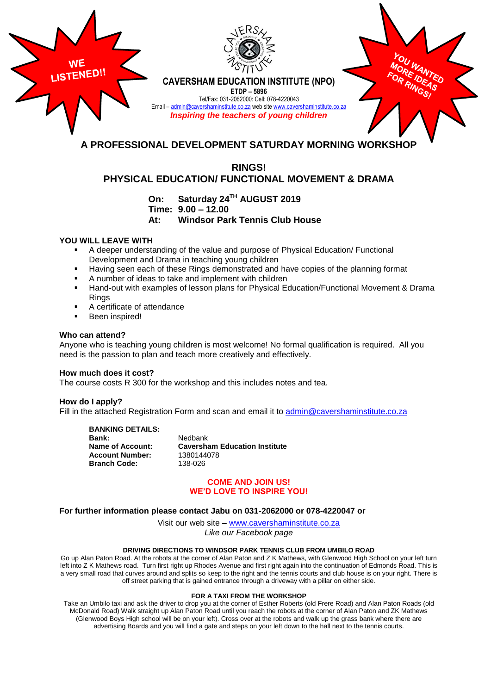

# **RINGS! PHYSICAL EDUCATION/ FUNCTIONAL MOVEMENT & DRAMA**

**On: Saturday 24TH AUGUST 2019 Time: 9.00 – 12.00**

**At: Windsor Park Tennis Club House**

## **YOU WILL LEAVE WITH**

- A deeper understanding of the value and purpose of Physical Education/ Functional Development and Drama in teaching young children
- Having seen each of these Rings demonstrated and have copies of the planning format
- A number of ideas to take and implement with children
- Hand-out with examples of lesson plans for Physical Education/Functional Movement & Drama Rings
- A certificate of attendance
- **Been inspired!**

### **Who can attend?**

Anyone who is teaching young children is most welcome! No formal qualification is required. All you need is the passion to plan and teach more creatively and effectively.

## **How much does it cost?**

The course costs R 300 for the workshop and this includes notes and tea.

#### **How do I apply?**

Fill in the attached Registration Form and scan and email it to [admin@cavershaminstitute.co.za](mailto:admin@cavershaminstitute.co.za)

**BANKING DETAILS:**

**Bank:** Nedbank<br>**Name of Account: Caversha Account Number:** 1380144078<br>**Branch Code:** 138-026 **Branch Code:** 

**Caversham Education Institute** 

## **COME AND JOIN US! WE'D LOVE TO INSPIRE YOU!**

### **For further information please contact Jabu on 031-2062000 or 078-4220047 or**

Visit our web site – [www.cavershaminstitute.co.za](http://www.cavershaminstitute.co.za/) *Like our Facebook page*

#### **DRIVING DIRECTIONS TO WINDSOR PARK TENNIS CLUB FROM UMBILO ROAD**

Go up Alan Paton Road. At the robots at the corner of Alan Paton and Z K Mathews, with Glenwood High School on your left turn left into Z K Mathews road. Turn first right up Rhodes Avenue and first right again into the continuation of Edmonds Road. This is a very small road that curves around and splits so keep to the right and the tennis courts and club house is on your right. There is off street parking that is gained entrance through a driveway with a pillar on either side.

#### **FOR A TAXI FROM THE WORKSHOP**

Take an Umbilo taxi and ask the driver to drop you at the corner of Esther Roberts (old Frere Road) and Alan Paton Roads (old McDonald Road) Walk straight up Alan Paton Road until you reach the robots at the corner of Alan Paton and ZK Mathews (Glenwood Boys High school will be on your left). Cross over at the robots and walk up the grass bank where there are advertising Boards and you will find a gate and steps on your left down to the hall next to the tennis courts.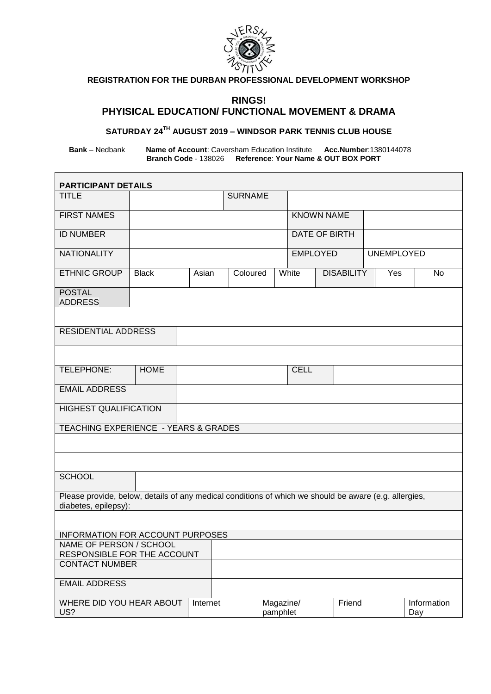

# **REGISTRATION FOR THE DURBAN PROFESSIONAL DEVELOPMENT WORKSHOP**

# **RINGS! PHYISICAL EDUCATION/ FUNCTIONAL MOVEMENT & DRAMA**

# **SATURDAY 24TH AUGUST 2019 – WINDSOR PARK TENNIS CLUB HOUSE**

**Bank** – Nedbank **Name of Account**: Caversham Education Institute **Acc.Number**:1380144078 **Branch Code** - 138026 **Reference**: **Your Name & OUT BOX PORT**

| <b>PARTICIPANT DETAILS</b>                                                                            |              |       |                |                       |                   |                   |     |                    |
|-------------------------------------------------------------------------------------------------------|--------------|-------|----------------|-----------------------|-------------------|-------------------|-----|--------------------|
| <b>TITLE</b>                                                                                          |              |       | <b>SURNAME</b> |                       |                   |                   |     |                    |
| <b>FIRST NAMES</b>                                                                                    |              |       |                |                       | <b>KNOWN NAME</b> |                   |     |                    |
|                                                                                                       |              |       |                |                       |                   |                   |     |                    |
| <b>ID NUMBER</b>                                                                                      |              |       |                |                       | DATE OF BIRTH     |                   |     |                    |
| <b>NATIONALITY</b>                                                                                    |              |       |                | <b>EMPLOYED</b>       |                   | <b>UNEMPLOYED</b> |     |                    |
| <b>ETHNIC GROUP</b>                                                                                   | <b>Black</b> | Asian | Coloured       |                       | White             | <b>DISABILITY</b> | Yes | No                 |
| <b>POSTAL</b><br><b>ADDRESS</b>                                                                       |              |       |                |                       |                   |                   |     |                    |
|                                                                                                       |              |       |                |                       |                   |                   |     |                    |
| <b>RESIDENTIAL ADDRESS</b>                                                                            |              |       |                |                       |                   |                   |     |                    |
|                                                                                                       |              |       |                |                       |                   |                   |     |                    |
| TELEPHONE:                                                                                            | <b>HOME</b>  |       |                |                       | <b>CELL</b>       |                   |     |                    |
| <b>EMAIL ADDRESS</b>                                                                                  |              |       |                |                       |                   |                   |     |                    |
| <b>HIGHEST QUALIFICATION</b>                                                                          |              |       |                |                       |                   |                   |     |                    |
| TEACHING EXPERIENCE - YEARS & GRADES                                                                  |              |       |                |                       |                   |                   |     |                    |
|                                                                                                       |              |       |                |                       |                   |                   |     |                    |
|                                                                                                       |              |       |                |                       |                   |                   |     |                    |
| <b>SCHOOL</b>                                                                                         |              |       |                |                       |                   |                   |     |                    |
| Please provide, below, details of any medical conditions of which we should be aware (e.g. allergies, |              |       |                |                       |                   |                   |     |                    |
| diabetes, epilepsy):                                                                                  |              |       |                |                       |                   |                   |     |                    |
| INFORMATION FOR ACCOUNT PURPOSES                                                                      |              |       |                |                       |                   |                   |     |                    |
| NAME OF PERSON / SCHOOL                                                                               |              |       |                |                       |                   |                   |     |                    |
| RESPONSIBLE FOR THE ACCOUNT                                                                           |              |       |                |                       |                   |                   |     |                    |
| <b>CONTACT NUMBER</b>                                                                                 |              |       |                |                       |                   |                   |     |                    |
| <b>EMAIL ADDRESS</b>                                                                                  |              |       |                |                       |                   |                   |     |                    |
| WHERE DID YOU HEAR ABOUT<br>Internet<br>US?                                                           |              |       |                | Magazine/<br>pamphlet |                   | Friend            |     | Information<br>Day |